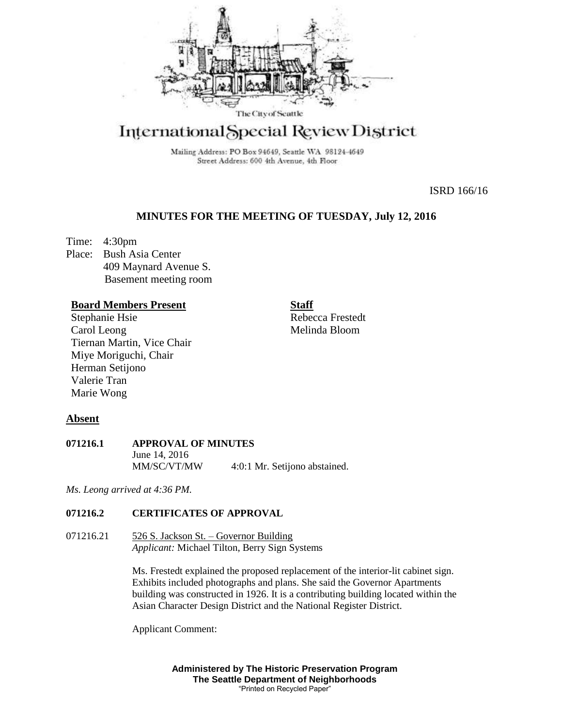

# International Special Review District

Mailing Address: PO Box 94649, Seattle WA 98124-4649 Street Address: 600 4th Avenue, 4th Floor

ISRD 166/16

### **MINUTES FOR THE MEETING OF TUESDAY, July 12, 2016**

Time: 4:30pm Place: Bush Asia Center 409 Maynard Avenue S. Basement meeting room

#### **Board Members Present**

Stephanie Hsie Carol Leong Tiernan Martin, Vice Chair Miye Moriguchi, Chair Herman Setijono Valerie Tran Marie Wong

**Staff** Rebecca Frestedt Melinda Bloom

#### **Absent**

#### **071216.1 APPROVAL OF MINUTES** June 14, 2016 MM/SC/VT/MW 4:0:1 Mr. Setijono abstained.

*Ms. Leong arrived at 4:36 PM.* 

#### **071216.2 CERTIFICATES OF APPROVAL**

071216.21 526 S. Jackson St. – Governor Building *Applicant:* Michael Tilton, Berry Sign Systems

> Ms. Frestedt explained the proposed replacement of the interior-lit cabinet sign. Exhibits included photographs and plans. She said the Governor Apartments building was constructed in 1926. It is a contributing building located within the Asian Character Design District and the National Register District.

Applicant Comment:

**Administered by The Historic Preservation Program The Seattle Department of Neighborhoods** "Printed on Recycled Paper"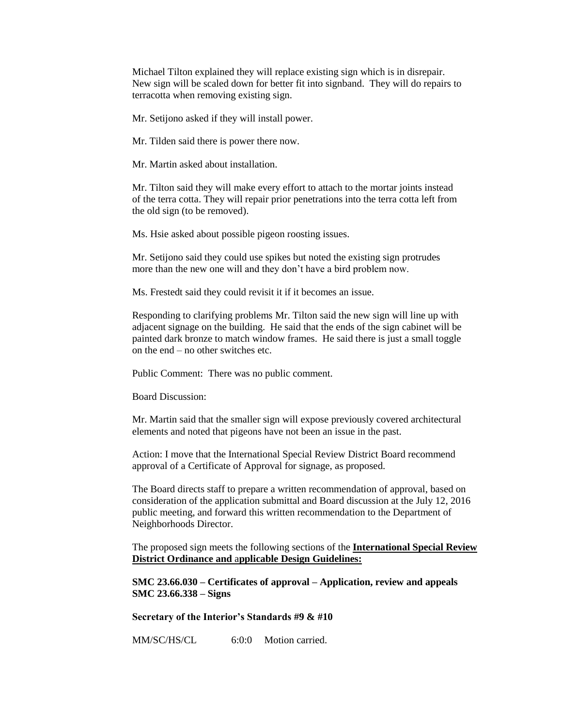Michael Tilton explained they will replace existing sign which is in disrepair. New sign will be scaled down for better fit into signband. They will do repairs to terracotta when removing existing sign.

Mr. Setijono asked if they will install power.

Mr. Tilden said there is power there now.

Mr. Martin asked about installation.

Mr. Tilton said they will make every effort to attach to the mortar joints instead of the terra cotta. They will repair prior penetrations into the terra cotta left from the old sign (to be removed).

Ms. Hsie asked about possible pigeon roosting issues.

Mr. Setijono said they could use spikes but noted the existing sign protrudes more than the new one will and they don't have a bird problem now.

Ms. Frestedt said they could revisit it if it becomes an issue.

Responding to clarifying problems Mr. Tilton said the new sign will line up with adjacent signage on the building. He said that the ends of the sign cabinet will be painted dark bronze to match window frames. He said there is just a small toggle on the end – no other switches etc.

Public Comment: There was no public comment.

Board Discussion:

Mr. Martin said that the smaller sign will expose previously covered architectural elements and noted that pigeons have not been an issue in the past.

Action: I move that the International Special Review District Board recommend approval of a Certificate of Approval for signage, as proposed.

The Board directs staff to prepare a written recommendation of approval, based on consideration of the application submittal and Board discussion at the July 12, 2016 public meeting, and forward this written recommendation to the Department of Neighborhoods Director.

The proposed sign meets the following sections of the **International Special Review District Ordinance and** a**pplicable Design Guidelines:**

**SMC 23.66.030 – Certificates of approval – Application, review and appeals SMC 23.66.338 – Signs**

**Secretary of the Interior's Standards #9 & #10**

MM/SC/HS/CL 6:0:0 Motion carried.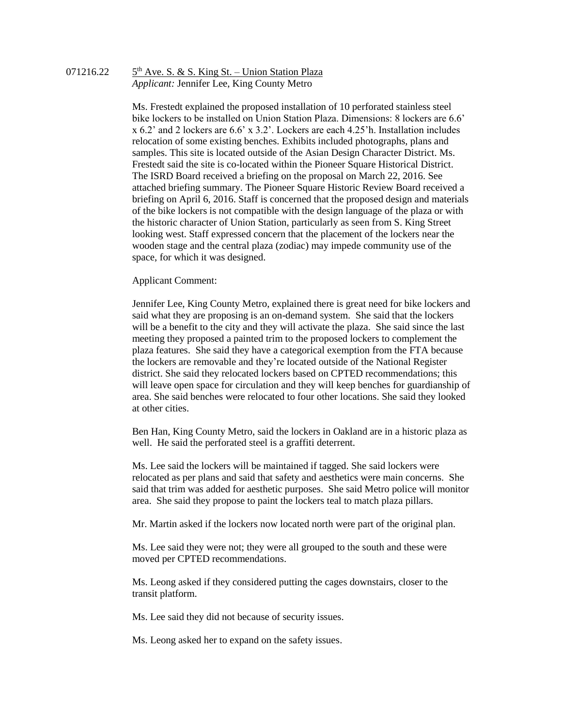#### 071216.22 5  $5<sup>th</sup>$  Ave. S. & S. King St. – Union Station Plaza *Applicant:* Jennifer Lee, King County Metro

Ms. Frestedt explained the proposed installation of 10 perforated stainless steel bike lockers to be installed on Union Station Plaza. Dimensions: 8 lockers are 6.6' x 6.2' and 2 lockers are 6.6' x 3.2'. Lockers are each 4.25'h. Installation includes relocation of some existing benches. Exhibits included photographs, plans and samples. This site is located outside of the Asian Design Character District. Ms. Frestedt said the site is co-located within the Pioneer Square Historical District. The ISRD Board received a briefing on the proposal on March 22, 2016. See attached briefing summary. The Pioneer Square Historic Review Board received a briefing on April 6, 2016. Staff is concerned that the proposed design and materials of the bike lockers is not compatible with the design language of the plaza or with the historic character of Union Station, particularly as seen from S. King Street looking west. Staff expressed concern that the placement of the lockers near the wooden stage and the central plaza (zodiac) may impede community use of the space, for which it was designed.

#### Applicant Comment:

Jennifer Lee, King County Metro, explained there is great need for bike lockers and said what they are proposing is an on-demand system. She said that the lockers will be a benefit to the city and they will activate the plaza. She said since the last meeting they proposed a painted trim to the proposed lockers to complement the plaza features. She said they have a categorical exemption from the FTA because the lockers are removable and they're located outside of the National Register district. She said they relocated lockers based on CPTED recommendations; this will leave open space for circulation and they will keep benches for guardianship of area. She said benches were relocated to four other locations. She said they looked at other cities.

Ben Han, King County Metro, said the lockers in Oakland are in a historic plaza as well. He said the perforated steel is a graffiti deterrent.

Ms. Lee said the lockers will be maintained if tagged. She said lockers were relocated as per plans and said that safety and aesthetics were main concerns. She said that trim was added for aesthetic purposes. She said Metro police will monitor area. She said they propose to paint the lockers teal to match plaza pillars.

Mr. Martin asked if the lockers now located north were part of the original plan.

Ms. Lee said they were not; they were all grouped to the south and these were moved per CPTED recommendations.

Ms. Leong asked if they considered putting the cages downstairs, closer to the transit platform.

Ms. Lee said they did not because of security issues.

Ms. Leong asked her to expand on the safety issues.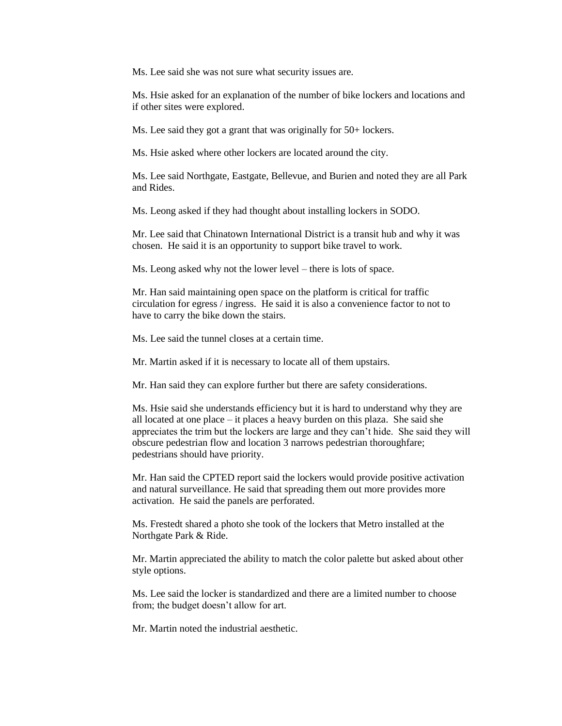Ms. Lee said she was not sure what security issues are.

Ms. Hsie asked for an explanation of the number of bike lockers and locations and if other sites were explored.

Ms. Lee said they got a grant that was originally for 50+ lockers.

Ms. Hsie asked where other lockers are located around the city.

Ms. Lee said Northgate, Eastgate, Bellevue, and Burien and noted they are all Park and Rides.

Ms. Leong asked if they had thought about installing lockers in SODO.

Mr. Lee said that Chinatown International District is a transit hub and why it was chosen. He said it is an opportunity to support bike travel to work.

Ms. Leong asked why not the lower level – there is lots of space.

Mr. Han said maintaining open space on the platform is critical for traffic circulation for egress / ingress. He said it is also a convenience factor to not to have to carry the bike down the stairs.

Ms. Lee said the tunnel closes at a certain time.

Mr. Martin asked if it is necessary to locate all of them upstairs.

Mr. Han said they can explore further but there are safety considerations.

Ms. Hsie said she understands efficiency but it is hard to understand why they are all located at one place – it places a heavy burden on this plaza. She said she appreciates the trim but the lockers are large and they can't hide. She said they will obscure pedestrian flow and location 3 narrows pedestrian thoroughfare; pedestrians should have priority.

Mr. Han said the CPTED report said the lockers would provide positive activation and natural surveillance. He said that spreading them out more provides more activation. He said the panels are perforated.

Ms. Frestedt shared a photo she took of the lockers that Metro installed at the Northgate Park & Ride.

Mr. Martin appreciated the ability to match the color palette but asked about other style options.

Ms. Lee said the locker is standardized and there are a limited number to choose from; the budget doesn't allow for art.

Mr. Martin noted the industrial aesthetic.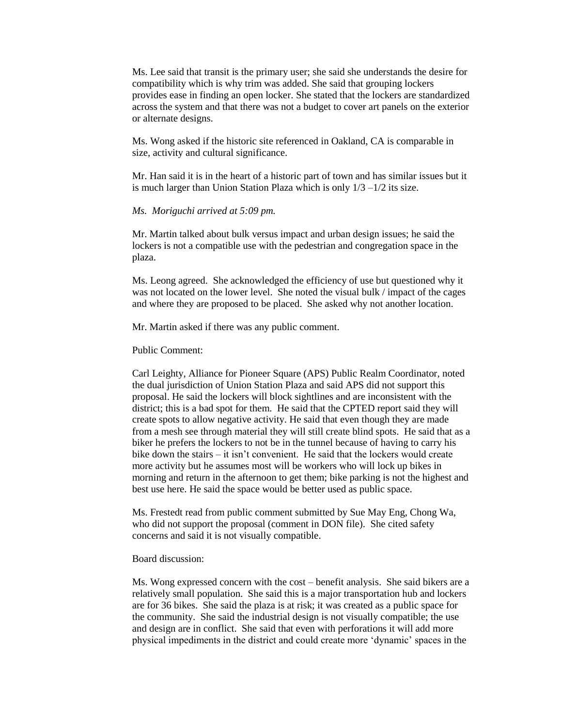Ms. Lee said that transit is the primary user; she said she understands the desire for compatibility which is why trim was added. She said that grouping lockers provides ease in finding an open locker. She stated that the lockers are standardized across the system and that there was not a budget to cover art panels on the exterior or alternate designs.

Ms. Wong asked if the historic site referenced in Oakland, CA is comparable in size, activity and cultural significance.

Mr. Han said it is in the heart of a historic part of town and has similar issues but it is much larger than Union Station Plaza which is only 1/3 –1/2 its size.

#### *Ms. Moriguchi arrived at 5:09 pm.*

Mr. Martin talked about bulk versus impact and urban design issues; he said the lockers is not a compatible use with the pedestrian and congregation space in the plaza.

Ms. Leong agreed. She acknowledged the efficiency of use but questioned why it was not located on the lower level. She noted the visual bulk / impact of the cages and where they are proposed to be placed. She asked why not another location.

Mr. Martin asked if there was any public comment.

Public Comment:

Carl Leighty, Alliance for Pioneer Square (APS) Public Realm Coordinator, noted the dual jurisdiction of Union Station Plaza and said APS did not support this proposal. He said the lockers will block sightlines and are inconsistent with the district; this is a bad spot for them. He said that the CPTED report said they will create spots to allow negative activity. He said that even though they are made from a mesh see through material they will still create blind spots. He said that as a biker he prefers the lockers to not be in the tunnel because of having to carry his bike down the stairs – it isn't convenient. He said that the lockers would create more activity but he assumes most will be workers who will lock up bikes in morning and return in the afternoon to get them; bike parking is not the highest and best use here. He said the space would be better used as public space.

Ms. Frestedt read from public comment submitted by Sue May Eng, Chong Wa, who did not support the proposal (comment in DON file). She cited safety concerns and said it is not visually compatible.

#### Board discussion:

Ms. Wong expressed concern with the cost – benefit analysis. She said bikers are a relatively small population. She said this is a major transportation hub and lockers are for 36 bikes. She said the plaza is at risk; it was created as a public space for the community. She said the industrial design is not visually compatible; the use and design are in conflict. She said that even with perforations it will add more physical impediments in the district and could create more 'dynamic' spaces in the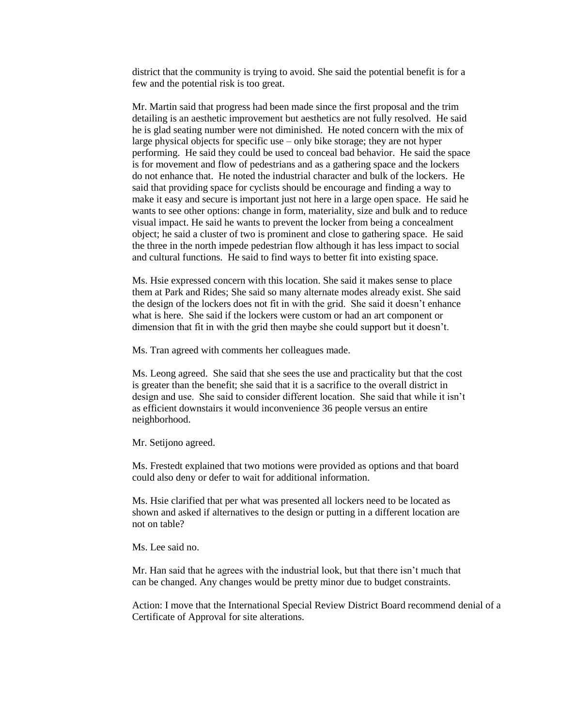district that the community is trying to avoid. She said the potential benefit is for a few and the potential risk is too great.

Mr. Martin said that progress had been made since the first proposal and the trim detailing is an aesthetic improvement but aesthetics are not fully resolved. He said he is glad seating number were not diminished. He noted concern with the mix of large physical objects for specific use – only bike storage; they are not hyper performing. He said they could be used to conceal bad behavior. He said the space is for movement and flow of pedestrians and as a gathering space and the lockers do not enhance that. He noted the industrial character and bulk of the lockers. He said that providing space for cyclists should be encourage and finding a way to make it easy and secure is important just not here in a large open space. He said he wants to see other options: change in form, materiality, size and bulk and to reduce visual impact. He said he wants to prevent the locker from being a concealment object; he said a cluster of two is prominent and close to gathering space. He said the three in the north impede pedestrian flow although it has less impact to social and cultural functions. He said to find ways to better fit into existing space.

Ms. Hsie expressed concern with this location. She said it makes sense to place them at Park and Rides; She said so many alternate modes already exist. She said the design of the lockers does not fit in with the grid. She said it doesn't enhance what is here. She said if the lockers were custom or had an art component or dimension that fit in with the grid then maybe she could support but it doesn't.

Ms. Tran agreed with comments her colleagues made.

Ms. Leong agreed. She said that she sees the use and practicality but that the cost is greater than the benefit; she said that it is a sacrifice to the overall district in design and use. She said to consider different location. She said that while it isn't as efficient downstairs it would inconvenience 36 people versus an entire neighborhood.

Mr. Setijono agreed.

Ms. Frestedt explained that two motions were provided as options and that board could also deny or defer to wait for additional information.

Ms. Hsie clarified that per what was presented all lockers need to be located as shown and asked if alternatives to the design or putting in a different location are not on table?

Ms. Lee said no.

Mr. Han said that he agrees with the industrial look, but that there isn't much that can be changed. Any changes would be pretty minor due to budget constraints.

Action: I move that the International Special Review District Board recommend denial of a Certificate of Approval for site alterations.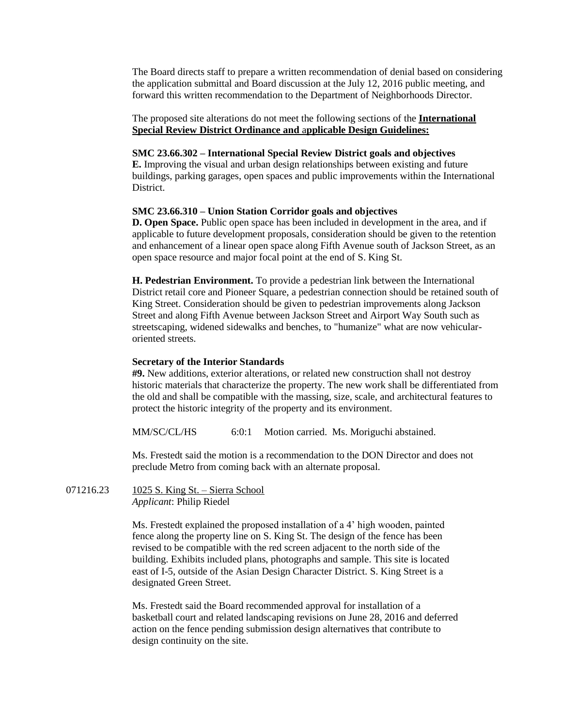The Board directs staff to prepare a written recommendation of denial based on considering the application submittal and Board discussion at the July 12, 2016 public meeting, and forward this written recommendation to the Department of Neighborhoods Director.

#### The proposed site alterations do not meet the following sections of the **International Special Review District Ordinance and** a**pplicable Design Guidelines:**

#### **SMC 23.66.302 – International Special Review District goals and objectives**

**E.** Improving the visual and urban design relationships between existing and future buildings, parking garages, open spaces and public improvements within the International District.

#### **SMC 23.66.310 – Union Station Corridor goals and objectives**

**D. Open Space.** Public open space has been included in development in the area, and if applicable to future development proposals, consideration should be given to the retention and enhancement of a linear open space along Fifth Avenue south of Jackson Street, as an open space resource and major focal point at the end of S. King St.

**H. Pedestrian Environment.** To provide a pedestrian link between the International District retail core and Pioneer Square, a pedestrian connection should be retained south of King Street. Consideration should be given to pedestrian improvements along Jackson Street and along Fifth Avenue between Jackson Street and Airport Way South such as streetscaping, widened sidewalks and benches, to "humanize" what are now vehicularoriented streets.

#### **Secretary of the Interior Standards**

**#9.** New additions, exterior alterations, or related new construction shall not destroy historic materials that characterize the property. The new work shall be differentiated from the old and shall be compatible with the massing, size, scale, and architectural features to protect the historic integrity of the property and its environment.

MM/SC/CL/HS 6:0:1 Motion carried. Ms. Moriguchi abstained.

Ms. Frestedt said the motion is a recommendation to the DON Director and does not preclude Metro from coming back with an alternate proposal.

071216.23 1025 S. King St. – Sierra School *Applicant*: Philip Riedel

> Ms. Frestedt explained the proposed installation of a 4' high wooden, painted fence along the property line on S. King St. The design of the fence has been revised to be compatible with the red screen adjacent to the north side of the building. Exhibits included plans, photographs and sample. This site is located east of I-5, outside of the Asian Design Character District. S. King Street is a designated Green Street.

Ms. Frestedt said the Board recommended approval for installation of a basketball court and related landscaping revisions on June 28, 2016 and deferred action on the fence pending submission design alternatives that contribute to design continuity on the site.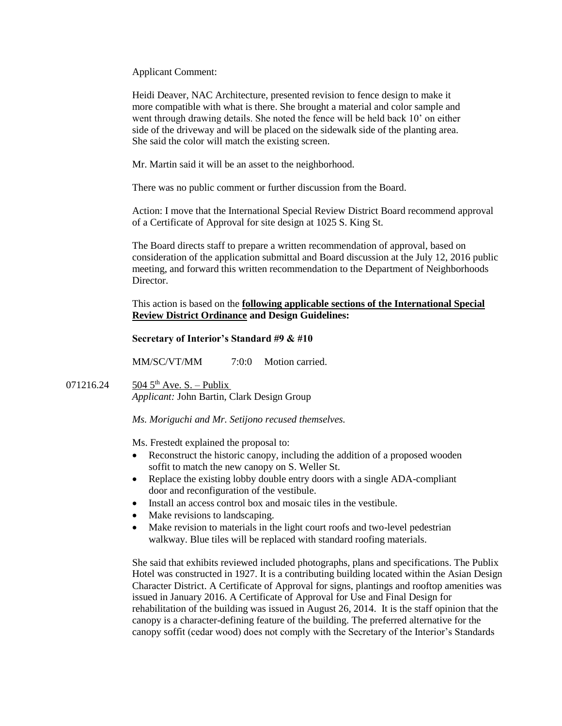Applicant Comment:

Heidi Deaver, NAC Architecture, presented revision to fence design to make it more compatible with what is there. She brought a material and color sample and went through drawing details. She noted the fence will be held back 10' on either side of the driveway and will be placed on the sidewalk side of the planting area. She said the color will match the existing screen.

Mr. Martin said it will be an asset to the neighborhood.

There was no public comment or further discussion from the Board.

Action: I move that the International Special Review District Board recommend approval of a Certificate of Approval for site design at 1025 S. King St.

The Board directs staff to prepare a written recommendation of approval, based on consideration of the application submittal and Board discussion at the July 12, 2016 public meeting, and forward this written recommendation to the Department of Neighborhoods Director.

This action is based on the **following applicable sections of the International Special Review District Ordinance and Design Guidelines:** 

#### **Secretary of Interior's Standard #9 & #10**

MM/SC/VT/MM 7:0:0 Motion carried.

071216.24  $504\,5^{th}$  Ave. S. – Publix *Applicant:* John Bartin, Clark Design Group

*Ms. Moriguchi and Mr. Setijono recused themselves.*

Ms. Frestedt explained the proposal to:

- Reconstruct the historic canopy, including the addition of a proposed wooden soffit to match the new canopy on S. Weller St.
- Replace the existing lobby double entry doors with a single ADA-compliant door and reconfiguration of the vestibule.
- Install an access control box and mosaic tiles in the vestibule.
- Make revisions to landscaping.
- Make revision to materials in the light court roofs and two-level pedestrian walkway. Blue tiles will be replaced with standard roofing materials.

She said that exhibits reviewed included photographs, plans and specifications. The Publix Hotel was constructed in 1927. It is a contributing building located within the Asian Design Character District. A Certificate of Approval for signs, plantings and rooftop amenities was issued in January 2016. A Certificate of Approval for Use and Final Design for rehabilitation of the building was issued in August 26, 2014. It is the staff opinion that the canopy is a character-defining feature of the building. The preferred alternative for the canopy soffit (cedar wood) does not comply with the Secretary of the Interior's Standards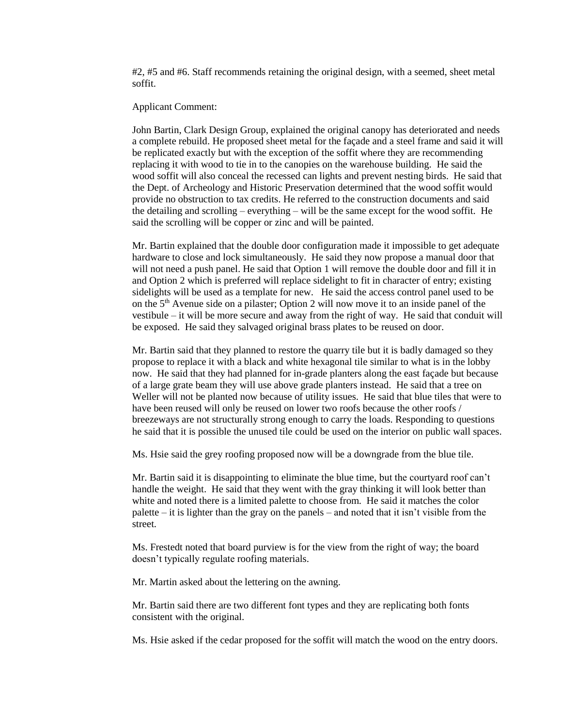#2, #5 and #6. Staff recommends retaining the original design, with a seemed, sheet metal soffit.

#### Applicant Comment:

John Bartin, Clark Design Group, explained the original canopy has deteriorated and needs a complete rebuild. He proposed sheet metal for the façade and a steel frame and said it will be replicated exactly but with the exception of the soffit where they are recommending replacing it with wood to tie in to the canopies on the warehouse building. He said the wood soffit will also conceal the recessed can lights and prevent nesting birds. He said that the Dept. of Archeology and Historic Preservation determined that the wood soffit would provide no obstruction to tax credits. He referred to the construction documents and said the detailing and scrolling – everything – will be the same except for the wood soffit. He said the scrolling will be copper or zinc and will be painted.

Mr. Bartin explained that the double door configuration made it impossible to get adequate hardware to close and lock simultaneously. He said they now propose a manual door that will not need a push panel. He said that Option 1 will remove the double door and fill it in and Option 2 which is preferred will replace sidelight to fit in character of entry; existing sidelights will be used as a template for new. He said the access control panel used to be on the 5th Avenue side on a pilaster; Option 2 will now move it to an inside panel of the vestibule – it will be more secure and away from the right of way. He said that conduit will be exposed. He said they salvaged original brass plates to be reused on door.

Mr. Bartin said that they planned to restore the quarry tile but it is badly damaged so they propose to replace it with a black and white hexagonal tile similar to what is in the lobby now. He said that they had planned for in-grade planters along the east façade but because of a large grate beam they will use above grade planters instead. He said that a tree on Weller will not be planted now because of utility issues. He said that blue tiles that were to have been reused will only be reused on lower two roofs because the other roofs / breezeways are not structurally strong enough to carry the loads. Responding to questions he said that it is possible the unused tile could be used on the interior on public wall spaces.

Ms. Hsie said the grey roofing proposed now will be a downgrade from the blue tile.

Mr. Bartin said it is disappointing to eliminate the blue time, but the courtyard roof can't handle the weight. He said that they went with the gray thinking it will look better than white and noted there is a limited palette to choose from. He said it matches the color palette – it is lighter than the gray on the panels – and noted that it isn't visible from the street.

Ms. Frestedt noted that board purview is for the view from the right of way; the board doesn't typically regulate roofing materials.

Mr. Martin asked about the lettering on the awning.

Mr. Bartin said there are two different font types and they are replicating both fonts consistent with the original.

Ms. Hsie asked if the cedar proposed for the soffit will match the wood on the entry doors.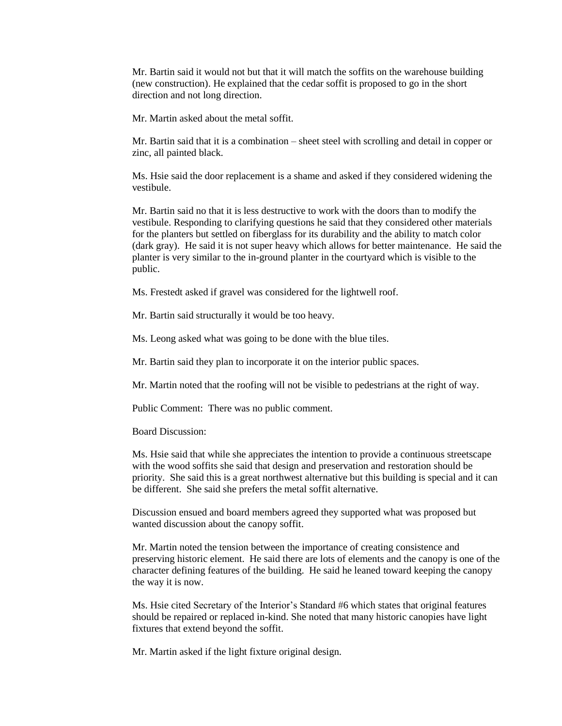Mr. Bartin said it would not but that it will match the soffits on the warehouse building (new construction). He explained that the cedar soffit is proposed to go in the short direction and not long direction.

Mr. Martin asked about the metal soffit.

Mr. Bartin said that it is a combination – sheet steel with scrolling and detail in copper or zinc, all painted black.

Ms. Hsie said the door replacement is a shame and asked if they considered widening the vestibule.

Mr. Bartin said no that it is less destructive to work with the doors than to modify the vestibule. Responding to clarifying questions he said that they considered other materials for the planters but settled on fiberglass for its durability and the ability to match color (dark gray). He said it is not super heavy which allows for better maintenance. He said the planter is very similar to the in-ground planter in the courtyard which is visible to the public.

Ms. Frestedt asked if gravel was considered for the lightwell roof.

Mr. Bartin said structurally it would be too heavy.

Ms. Leong asked what was going to be done with the blue tiles.

Mr. Bartin said they plan to incorporate it on the interior public spaces.

Mr. Martin noted that the roofing will not be visible to pedestrians at the right of way.

Public Comment: There was no public comment.

Board Discussion:

Ms. Hsie said that while she appreciates the intention to provide a continuous streetscape with the wood soffits she said that design and preservation and restoration should be priority. She said this is a great northwest alternative but this building is special and it can be different. She said she prefers the metal soffit alternative.

Discussion ensued and board members agreed they supported what was proposed but wanted discussion about the canopy soffit.

Mr. Martin noted the tension between the importance of creating consistence and preserving historic element. He said there are lots of elements and the canopy is one of the character defining features of the building. He said he leaned toward keeping the canopy the way it is now.

Ms. Hsie cited Secretary of the Interior's Standard #6 which states that original features should be repaired or replaced in-kind. She noted that many historic canopies have light fixtures that extend beyond the soffit.

Mr. Martin asked if the light fixture original design.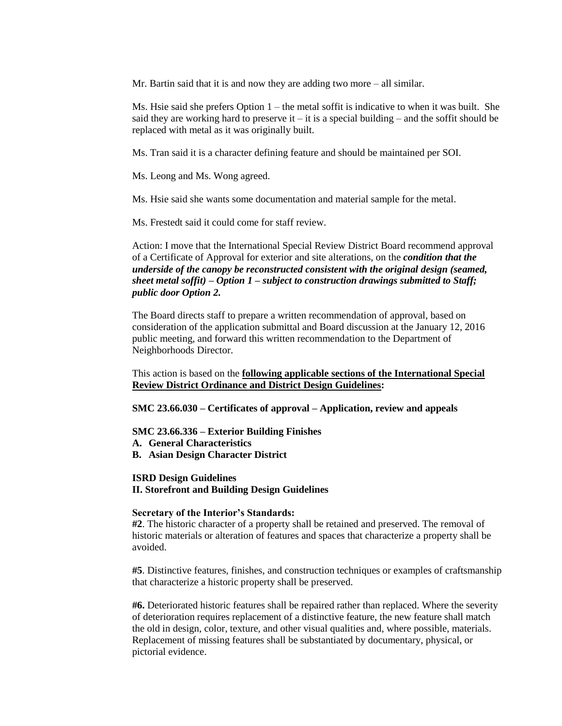Mr. Bartin said that it is and now they are adding two more – all similar.

Ms. Hsie said she prefers Option  $1 -$  the metal soffit is indicative to when it was built. She said they are working hard to preserve it  $-$  it is a special building  $-$  and the soffit should be replaced with metal as it was originally built.

Ms. Tran said it is a character defining feature and should be maintained per SOI.

Ms. Leong and Ms. Wong agreed.

Ms. Hsie said she wants some documentation and material sample for the metal.

Ms. Frestedt said it could come for staff review.

Action: I move that the International Special Review District Board recommend approval of a Certificate of Approval for exterior and site alterations, on the *condition that the underside of the canopy be reconstructed consistent with the original design (seamed, sheet metal soffit) – Option 1 – subject to construction drawings submitted to Staff; public door Option 2.*

The Board directs staff to prepare a written recommendation of approval, based on consideration of the application submittal and Board discussion at the January 12, 2016 public meeting, and forward this written recommendation to the Department of Neighborhoods Director.

This action is based on the **following applicable sections of the International Special Review District Ordinance and District Design Guidelines:** 

**SMC 23.66.030 – Certificates of approval – Application, review and appeals**

**SMC 23.66.336 – Exterior Building Finishes**

**A. General Characteristics**

**B. Asian Design Character District**

## **ISRD Design Guidelines**

**II. Storefront and Building Design Guidelines**

#### **Secretary of the Interior's Standards:**

**#2**. The historic character of a property shall be retained and preserved. The removal of historic materials or alteration of features and spaces that characterize a property shall be avoided.

**#5**. Distinctive features, finishes, and construction techniques or examples of craftsmanship that characterize a historic property shall be preserved.

**#6.** Deteriorated historic features shall be repaired rather than replaced. Where the severity of deterioration requires replacement of a distinctive feature, the new feature shall match the old in design, color, texture, and other visual qualities and, where possible, materials. Replacement of missing features shall be substantiated by documentary, physical, or pictorial evidence.